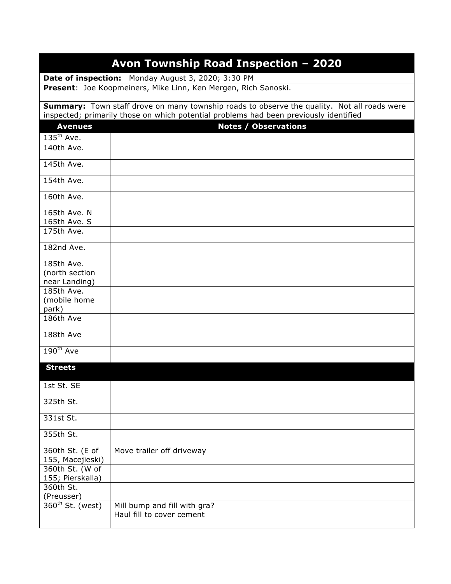| Avon Township Road Inspection - 2020                                                  |                                                                                                    |  |
|---------------------------------------------------------------------------------------|----------------------------------------------------------------------------------------------------|--|
| Date of inspection: Monday August 3, 2020; 3:30 PM                                    |                                                                                                    |  |
|                                                                                       | Present: Joe Koopmeiners, Mike Linn, Ken Mergen, Rich Sanoski.                                     |  |
|                                                                                       | <b>Summary:</b> Town staff drove on many township roads to observe the quality. Not all roads were |  |
| inspected; primarily those on which potential problems had been previously identified |                                                                                                    |  |
| <b>Avenues</b>                                                                        | <b>Notes / Observations</b>                                                                        |  |
| $135th$ Ave.<br>140th Ave.                                                            |                                                                                                    |  |
|                                                                                       |                                                                                                    |  |
| 145th Ave.                                                                            |                                                                                                    |  |
| 154th Ave.                                                                            |                                                                                                    |  |
| 160th Ave.                                                                            |                                                                                                    |  |
| 165th Ave. N                                                                          |                                                                                                    |  |
| 165th Ave. S<br>175th Ave.                                                            |                                                                                                    |  |
|                                                                                       |                                                                                                    |  |
| 182nd Ave.                                                                            |                                                                                                    |  |
| 185th Ave.                                                                            |                                                                                                    |  |
| (north section                                                                        |                                                                                                    |  |
| near Landing)<br>185th Ave.                                                           |                                                                                                    |  |
| (mobile home                                                                          |                                                                                                    |  |
| park)                                                                                 |                                                                                                    |  |
| 186th Ave                                                                             |                                                                                                    |  |
| 188th Ave                                                                             |                                                                                                    |  |
| $190^{th}$ Ave                                                                        |                                                                                                    |  |
| <b>Streets</b>                                                                        |                                                                                                    |  |
|                                                                                       |                                                                                                    |  |
| 1st St. SE                                                                            |                                                                                                    |  |
| 325th St.                                                                             |                                                                                                    |  |
| 331st St.                                                                             |                                                                                                    |  |
| 355th St.                                                                             |                                                                                                    |  |
| 360th St. (E of<br>155, Macejieski)                                                   | Move trailer off driveway                                                                          |  |
| 360th St. (W of                                                                       |                                                                                                    |  |
| 155; Pierskalla)                                                                      |                                                                                                    |  |
| 360th St.                                                                             |                                                                                                    |  |
| (Preusser)                                                                            |                                                                                                    |  |
| $360th$ St. (west)                                                                    | Mill bump and fill with gra?<br>Haul fill to cover cement                                          |  |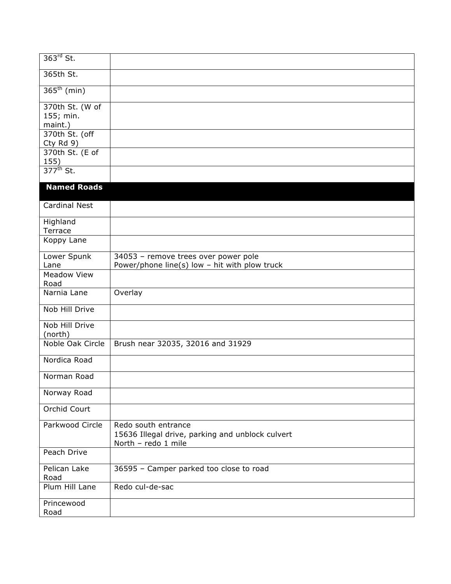| $363rd$ St.                         |                                                                                                |
|-------------------------------------|------------------------------------------------------------------------------------------------|
| 365th St.                           |                                                                                                |
| $365^{\text{th}}$ (min)             |                                                                                                |
| 370th St. (W of                     |                                                                                                |
| 155; min.                           |                                                                                                |
| maint.)<br>370th St. (off           |                                                                                                |
| Cty Rd 9)                           |                                                                                                |
| 370th St. (E of                     |                                                                                                |
| $\frac{155}{377}$ <sup>th</sup> St. |                                                                                                |
|                                     |                                                                                                |
| <b>Named Roads</b>                  |                                                                                                |
| <b>Cardinal Nest</b>                |                                                                                                |
| Highland<br>Terrace                 |                                                                                                |
| Koppy Lane                          |                                                                                                |
| Lower Spunk                         | 34053 - remove trees over power pole                                                           |
| Lane                                | Power/phone line(s) low - hit with plow truck                                                  |
| <b>Meadow View</b><br>Road          |                                                                                                |
| Narnia Lane                         | Overlay                                                                                        |
| Nob Hill Drive                      |                                                                                                |
| Nob Hill Drive                      |                                                                                                |
| (north)                             |                                                                                                |
| Noble Oak Circle                    | Brush near 32035, 32016 and 31929                                                              |
| Nordica Road                        |                                                                                                |
| Norman Road                         |                                                                                                |
| Norway Road                         |                                                                                                |
| Orchid Court                        |                                                                                                |
| Parkwood Circle                     | Redo south entrance<br>15636 Illegal drive, parking and unblock culvert<br>North - redo 1 mile |
| Peach Drive                         |                                                                                                |
| Pelican Lake<br>Road                | 36595 - Camper parked too close to road                                                        |
| Plum Hill Lane                      | Redo cul-de-sac                                                                                |
| Princewood<br>Road                  |                                                                                                |